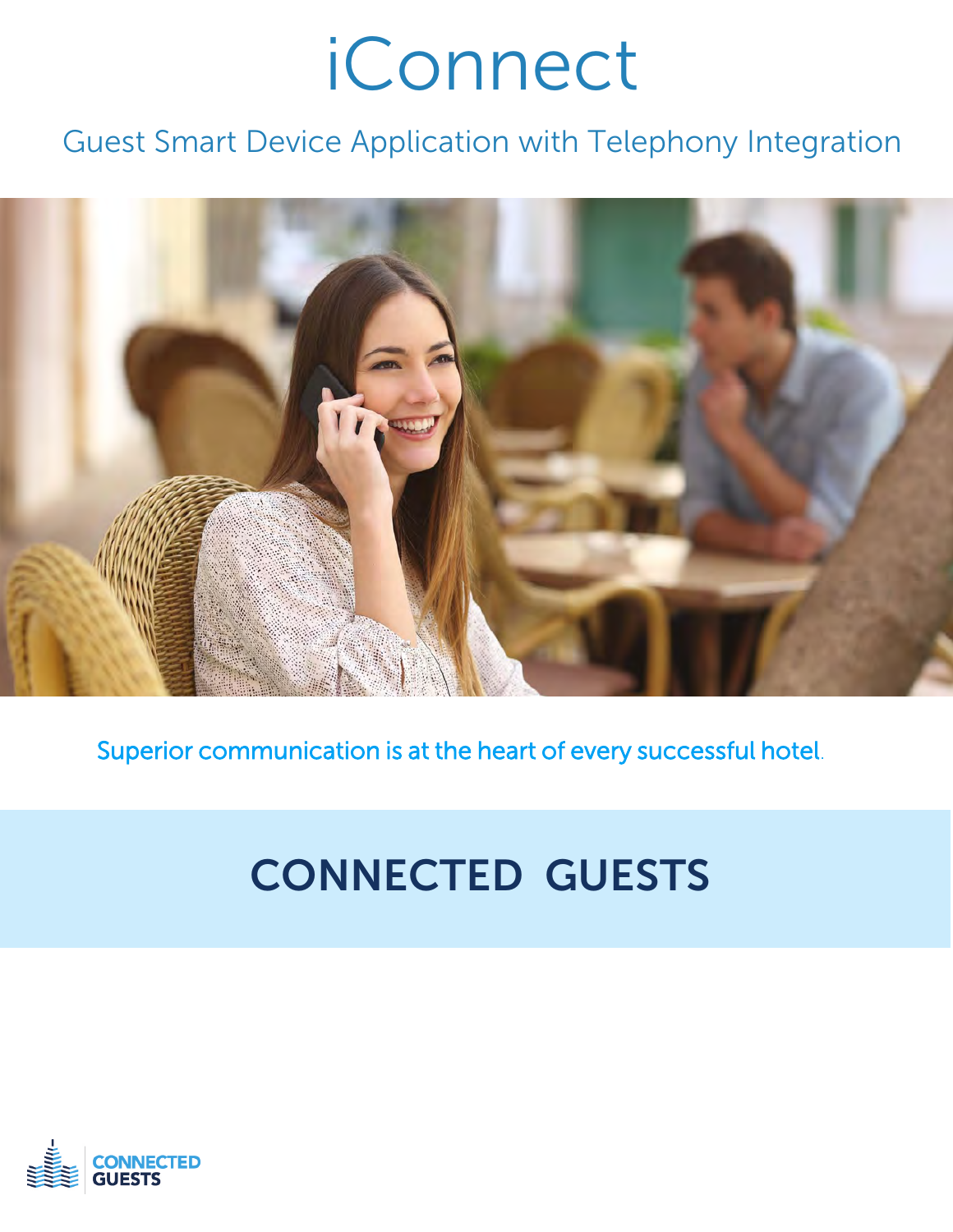# iConnect

### Guest Smart Device Application with Telephony Integration



Superior communication is at the heart of every successful hotel.

## CONNECTED GUESTS

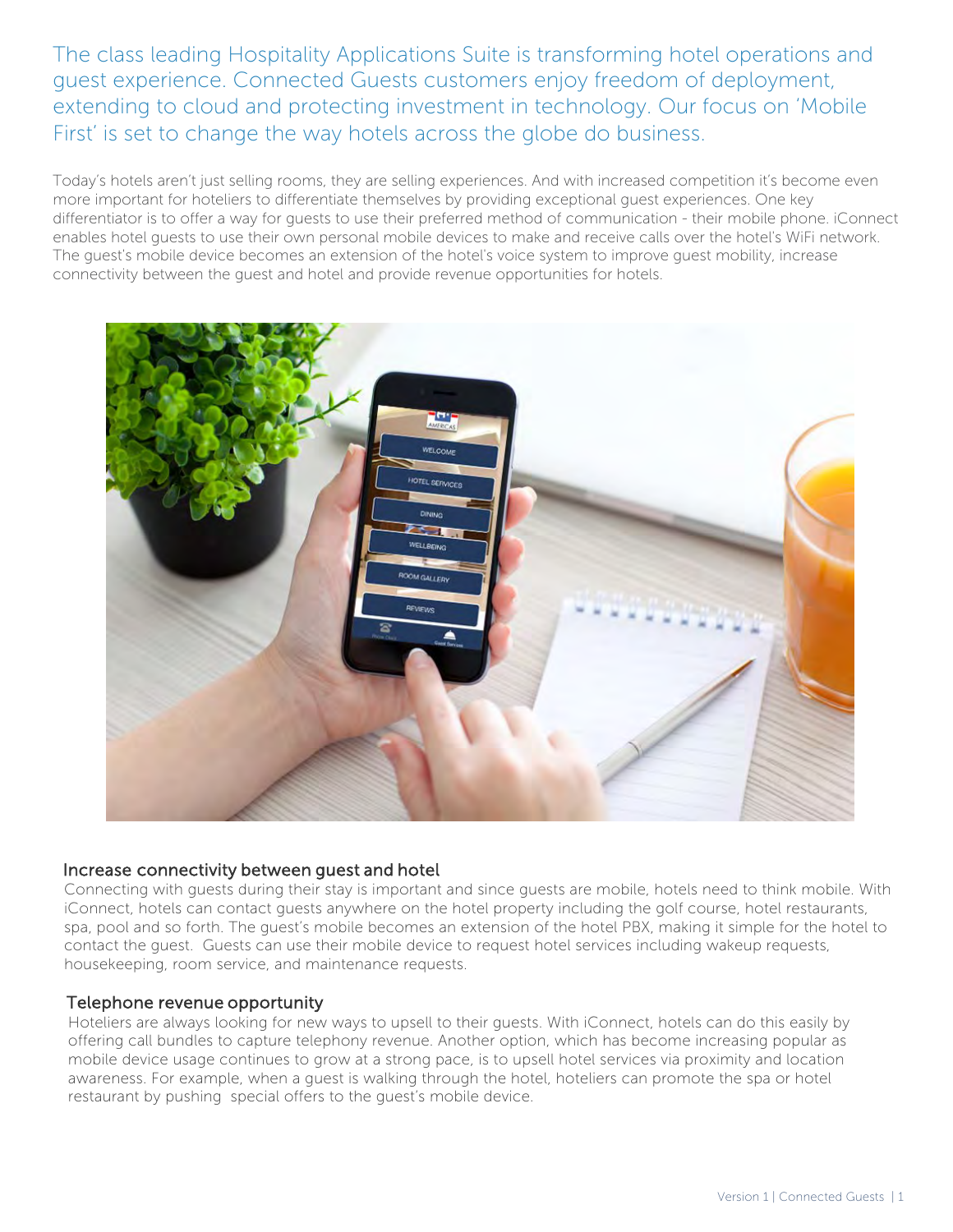The class leading Hospitality Applications Suite is transforming hotel operations and guest experience. Connected Guests customers enjoy freedom of deployment, extending to cloud and protecting investment in technology. Our focus on 'Mobile First' is set to change the way hotels across the globe do business.

Today's hotels aren't just selling rooms, they are selling experiences. And with increased competition it's become even more important for hoteliers to differentiate themselves by providing exceptional guest experiences. One key differentiator is to offer a way for guests to use their preferred method of communication - their mobile phone. iConnect enables hotel guests to use their own personal mobile devices to make and receive calls over the hotel's WiFi network. The guest's mobile device becomes an extension of the hotel's voice system to improve guest mobility, increase connectivity between the guest and hotel and provide revenue opportunities for hotels.



#### Increase connectivity between guest and hotel

Connecting with guests during their stay is important and since guests are mobile, hotels need to think mobile. With iConnect, hotels can contact guests anywhere on the hotel property including the golf course, hotel restaurants, spa, pool and so forth. The guest's mobile becomes an extension of the hotel PBX, making it simple for the hotel to contact the guest. Guests can use their mobile device to request hotel services including wakeup requests, housekeeping, room service, and maintenance requests.

#### Telephone revenue opportunity

Hoteliers are always looking for new ways to upsell to their guests. With iConnect, hotels can do this easily by offering call bundles to capture telephony revenue. Another option, which has become increasing popular as mobile device usage continues to grow at a strong pace, is to upsell hotel services via proximity and location awareness. For example, when a guest is walking through the hotel, hoteliers can promote the spa or hotel restaurant by pushing special offers to the guest's mobile device.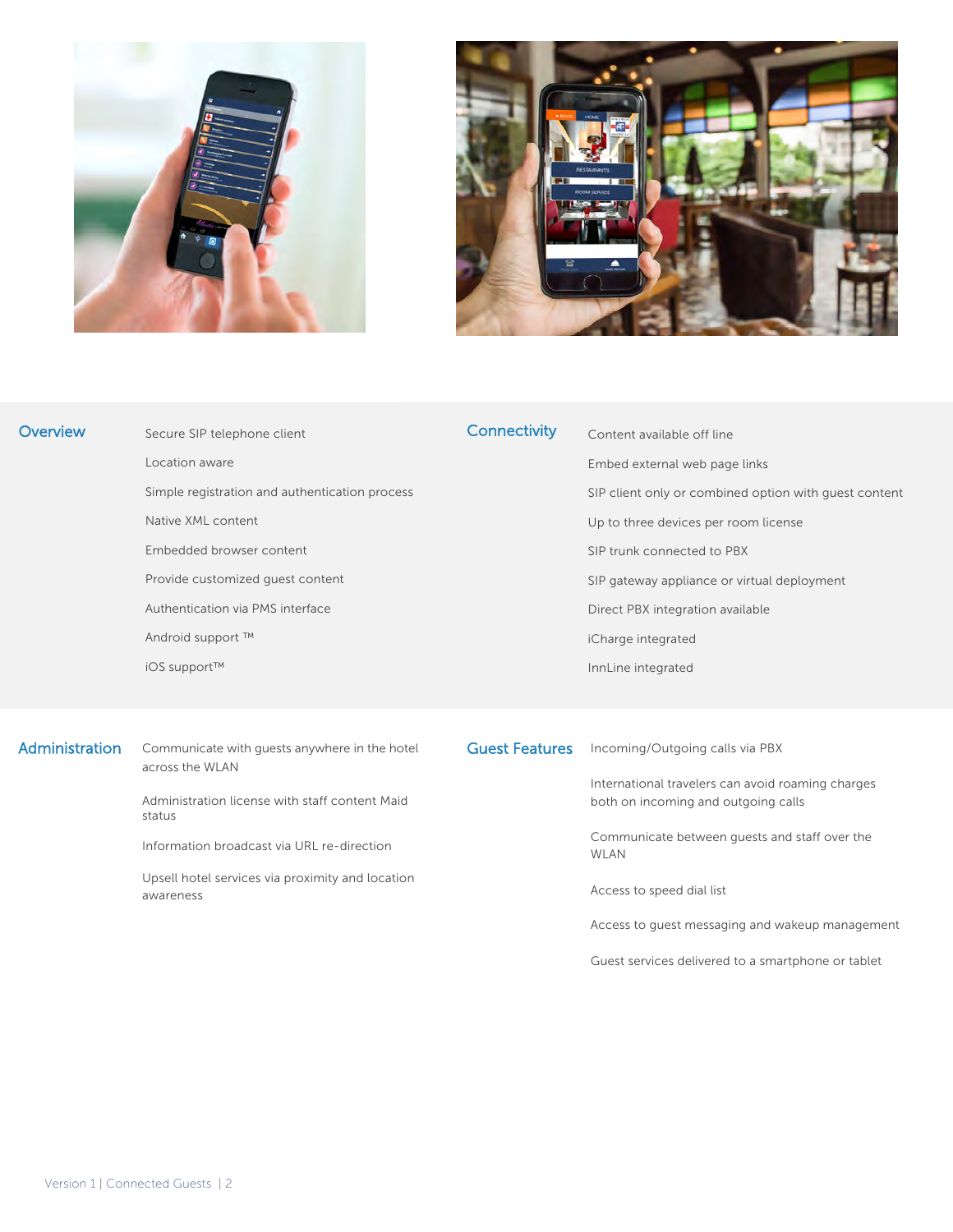



| <b>Overview</b> | Secure SIP telephone client                                      | <b>Connectivity</b>   | Content available off line                            |
|-----------------|------------------------------------------------------------------|-----------------------|-------------------------------------------------------|
|                 | Location aware                                                   |                       | Embed external web page links                         |
|                 | Simple registration and authentication process                   |                       | SIP client only or combined option with quest content |
|                 | Native XML content                                               |                       | Up to three devices per room license                  |
|                 | Embedded browser content                                         |                       | SIP trunk connected to PBX                            |
|                 | Provide customized guest content                                 |                       | SIP gateway appliance or virtual deployment           |
|                 | Authentication via PMS interface                                 |                       | Direct PBX integration available                      |
|                 | Android support ™                                                |                       | iCharge integrated                                    |
|                 | iOS support™                                                     |                       | InnLine integrated                                    |
|                 |                                                                  |                       |                                                       |
|                 |                                                                  |                       |                                                       |
| Administration  | Communicate with guests anywhere in the hotel<br>across the WLAN | <b>Guest Features</b> | Incoming/Outgoing calls via PBX                       |
|                 |                                                                  |                       | International travelers can avoid roaming charges     |

Administration license with staff content Maid status

Information broadcast via URL re-direction

Upsell hotel services via proximity and location awareness

both on incoming and outgoing calls

Communicate between guests and staff over the WLAN

Access to speed dial list

Access to guest messaging and wakeup management

Guest services delivered to a smartphone or tablet